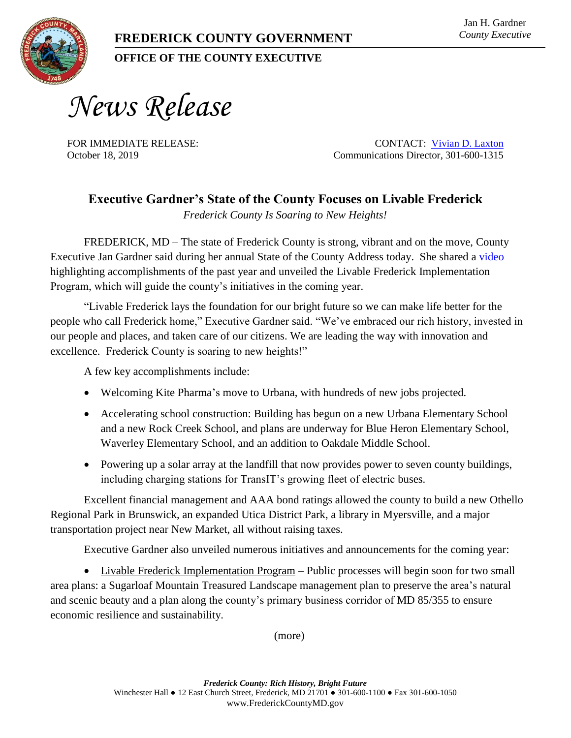**OFFICE OF THE COUNTY EXECUTIVE** 

*News Release*

FOR IMMEDIATE RELEASE: CONTACT: [Vivian D. Laxton](mailto:vlaxton@FrederickCountyMD.gov) October 18, 2019 Communications Director, 301-600-1315

## **Executive Gardner's State of the County Focuses on Livable Frederick**

*Frederick County Is Soaring to New Heights!* 

FREDERICK, MD – The state of Frederick County is strong, vibrant and on the move, County Executive Jan Gardner said during her annual State of the County Address today. She shared a [video](https://youtu.be/o6P3lklkel8) highlighting accomplishments of the past year and unveiled the Livable Frederick Implementation Program, which will guide the county's initiatives in the coming year.

"Livable Frederick lays the foundation for our bright future so we can make life better for the people who call Frederick home," Executive Gardner said. "We've embraced our rich history, invested in our people and places, and taken care of our citizens. We are leading the way with innovation and excellence. Frederick County is soaring to new heights!"

A few key accomplishments include:

- Welcoming Kite Pharma's move to Urbana, with hundreds of new jobs projected.
- Accelerating school construction: Building has begun on a new Urbana Elementary School and a new Rock Creek School, and plans are underway for Blue Heron Elementary School, Waverley Elementary School, and an addition to Oakdale Middle School.
- Powering up a solar array at the landfill that now provides power to seven county buildings, including charging stations for TransIT's growing fleet of electric buses.

Excellent financial management and AAA bond ratings allowed the county to build a new Othello Regional Park in Brunswick, an expanded Utica District Park, a library in Myersville, and a major transportation project near New Market, all without raising taxes.

Executive Gardner also unveiled numerous initiatives and announcements for the coming year:

 Livable Frederick Implementation Program – Public processes will begin soon for two small area plans: a Sugarloaf Mountain Treasured Landscape management plan to preserve the area's natural and scenic beauty and a plan along the county's primary business corridor of MD 85/355 to ensure economic resilience and sustainability.

(more)